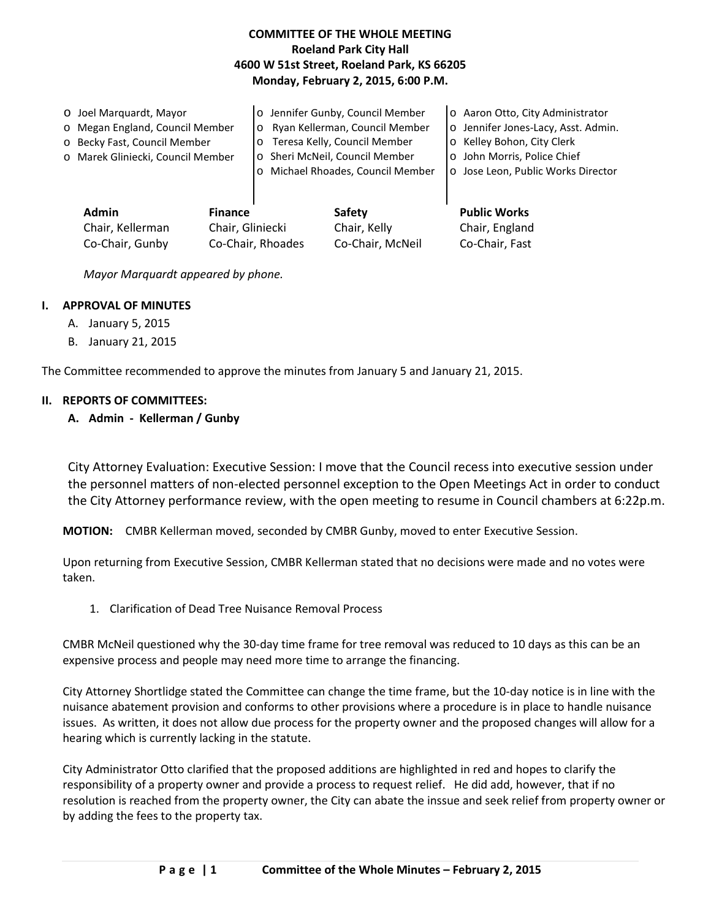# **COMMITTEE OF THE WHOLE MEETING Roeland Park City Hall 4600 W 51st Street, Roeland Park, KS 66205 Monday, February 2, 2015, 6:00 P.M.**

| O Joel Marguardt, Mayor           | o Jennifer Gunby, Council Member  | o Aaron Otto, City Administrator    |
|-----------------------------------|-----------------------------------|-------------------------------------|
| o Megan England, Council Member   | o Ryan Kellerman, Council Member  | o Jennifer Jones-Lacy, Asst. Admin. |
| o Becky Fast, Council Member      | o Teresa Kelly, Council Member    | o Kelley Bohon, City Clerk          |
| o Marek Gliniecki, Council Member | o Sheri McNeil, Council Member    | o John Morris, Police Chief         |
|                                   | o Michael Rhoades, Council Member | o Jose Leon, Public Works Director  |
|                                   |                                   |                                     |
| <b>Admin</b><br><b>Finance</b>    | <b>Safety</b>                     | <b>Public Works</b>                 |

Chair, Kellerman Chair, Gliniecki Chair, Kelly Chair, England Co-Chair, Gunby Co-Chair, Rhoades Co-Chair, McNeil Co-Chair, Fast

*Mayor Marquardt appeared by phone.*

### **I. APPROVAL OF MINUTES**

- A. January 5, 2015
- B. January 21, 2015

The Committee recommended to approve the minutes from January 5 and January 21, 2015.

### **II. REPORTS OF COMMITTEES:**

**A. Admin - Kellerman / Gunby**

City Attorney Evaluation: Executive Session: I move that the Council recess into executive session under the personnel matters of non-elected personnel exception to the Open Meetings Act in order to conduct the City Attorney performance review, with the open meeting to resume in Council chambers at 6:22p.m.

**MOTION:** CMBR Kellerman moved, seconded by CMBR Gunby, moved to enter Executive Session.

Upon returning from Executive Session, CMBR Kellerman stated that no decisions were made and no votes were taken.

1. Clarification of Dead Tree Nuisance Removal Process

CMBR McNeil questioned why the 30-day time frame for tree removal was reduced to 10 days as this can be an expensive process and people may need more time to arrange the financing.

City Attorney Shortlidge stated the Committee can change the time frame, but the 10-day notice is in line with the nuisance abatement provision and conforms to other provisions where a procedure is in place to handle nuisance issues. As written, it does not allow due process for the property owner and the proposed changes will allow for a hearing which is currently lacking in the statute.

City Administrator Otto clarified that the proposed additions are highlighted in red and hopes to clarify the responsibility of a property owner and provide a process to request relief. He did add, however, that if no resolution is reached from the property owner, the City can abate the inssue and seek relief from property owner or by adding the fees to the property tax.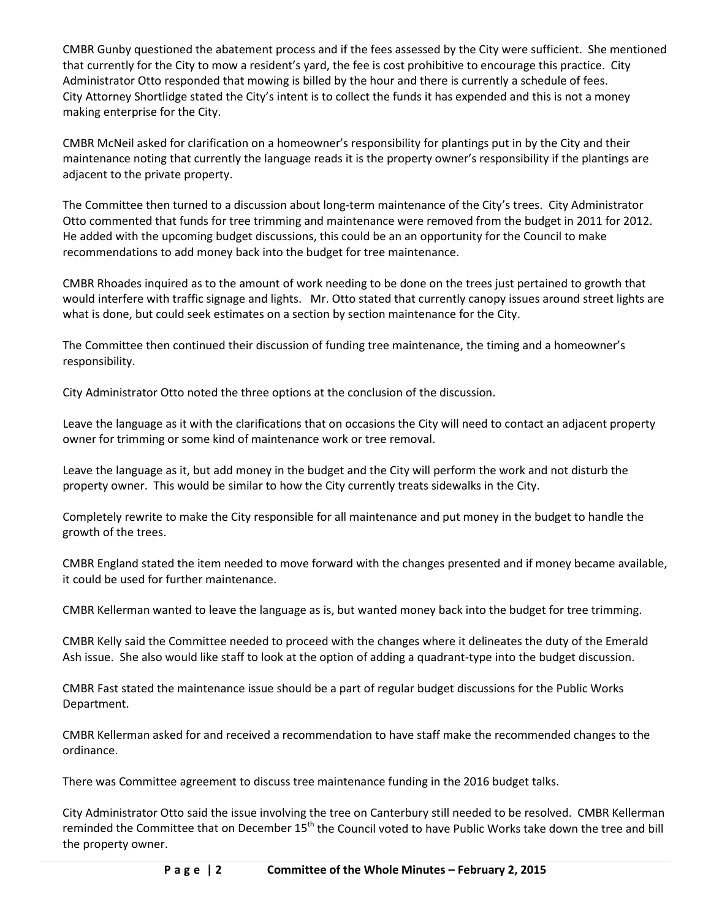CMBR Gunby questioned the abatement process and if the fees assessed by the City were sufficient. She mentioned that currently for the City to mow a resident's yard, the fee is cost prohibitive to encourage this practice. City Administrator Otto responded that mowing is billed by the hour and there is currently a schedule of fees. City Attorney Shortlidge stated the City's intent is to collect the funds it has expended and this is not a money making enterprise for the City.

CMBR McNeil asked for clarification on a homeowner's responsibility for plantings put in by the City and their maintenance noting that currently the language reads it is the property owner's responsibility if the plantings are adjacent to the private property.

The Committee then turned to a discussion about long-term maintenance of the City's trees. City Administrator Otto commented that funds for tree trimming and maintenance were removed from the budget in 2011 for 2012. He added with the upcoming budget discussions, this could be an an opportunity for the Council to make recommendations to add money back into the budget for tree maintenance.

CMBR Rhoades inquired as to the amount of work needing to be done on the trees just pertained to growth that would interfere with traffic signage and lights. Mr. Otto stated that currently canopy issues around street lights are what is done, but could seek estimates on a section by section maintenance for the City.

The Committee then continued their discussion of funding tree maintenance, the timing and a homeowner's responsibility.

City Administrator Otto noted the three options at the conclusion of the discussion.

Leave the language as it with the clarifications that on occasions the City will need to contact an adjacent property owner for trimming or some kind of maintenance work or tree removal.

Leave the language as it, but add money in the budget and the City will perform the work and not disturb the property owner. This would be similar to how the City currently treats sidewalks in the City.

Completely rewrite to make the City responsible for all maintenance and put money in the budget to handle the growth of the trees.

CMBR England stated the item needed to move forward with the changes presented and if money became available, it could be used for further maintenance.

CMBR Kellerman wanted to leave the language as is, but wanted money back into the budget for tree trimming.

CMBR Kelly said the Committee needed to proceed with the changes where it delineates the duty of the Emerald Ash issue. She also would like staff to look at the option of adding a quadrant-type into the budget discussion.

CMBR Fast stated the maintenance issue should be a part of regular budget discussions for the Public Works Department.

CMBR Kellerman asked for and received a recommendation to have staff make the recommended changes to the ordinance.

There was Committee agreement to discuss tree maintenance funding in the 2016 budget talks.

City Administrator Otto said the issue involving the tree on Canterbury still needed to be resolved. CMBR Kellerman reminded the Committee that on December 15<sup>th</sup> the Council voted to have Public Works take down the tree and bill the property owner.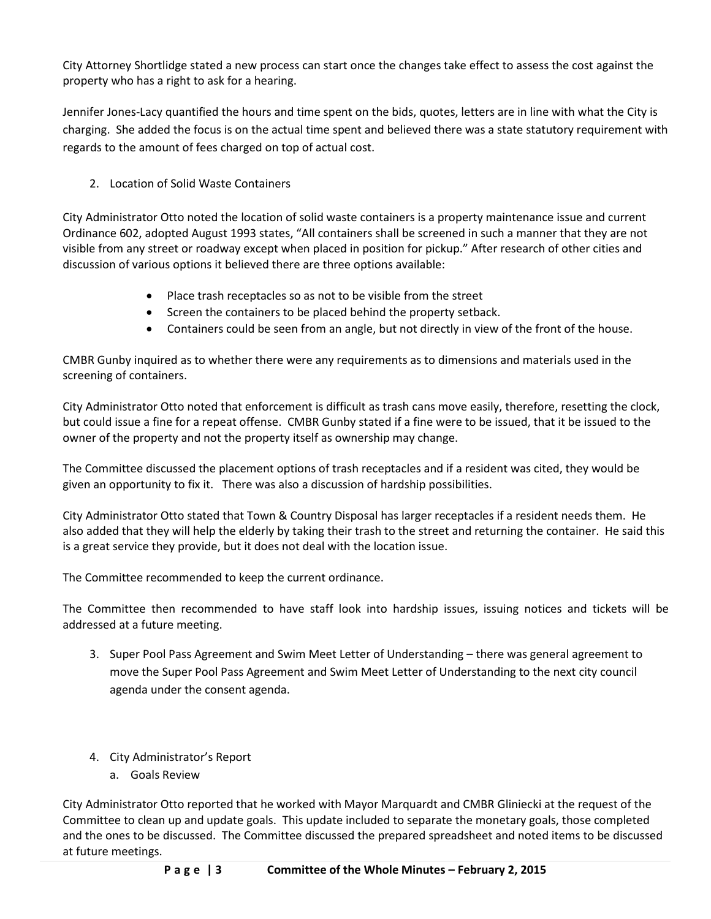City Attorney Shortlidge stated a new process can start once the changes take effect to assess the cost against the property who has a right to ask for a hearing.

Jennifer Jones-Lacy quantified the hours and time spent on the bids, quotes, letters are in line with what the City is charging. She added the focus is on the actual time spent and believed there was a state statutory requirement with regards to the amount of fees charged on top of actual cost.

2. Location of Solid Waste Containers

City Administrator Otto noted the location of solid waste containers is a property maintenance issue and current Ordinance 602, adopted August 1993 states, "All containers shall be screened in such a manner that they are not visible from any street or roadway except when placed in position for pickup." After research of other cities and discussion of various options it believed there are three options available:

- Place trash receptacles so as not to be visible from the street
- Screen the containers to be placed behind the property setback.
- Containers could be seen from an angle, but not directly in view of the front of the house.

CMBR Gunby inquired as to whether there were any requirements as to dimensions and materials used in the screening of containers.

City Administrator Otto noted that enforcement is difficult as trash cans move easily, therefore, resetting the clock, but could issue a fine for a repeat offense. CMBR Gunby stated if a fine were to be issued, that it be issued to the owner of the property and not the property itself as ownership may change.

The Committee discussed the placement options of trash receptacles and if a resident was cited, they would be given an opportunity to fix it. There was also a discussion of hardship possibilities.

City Administrator Otto stated that Town & Country Disposal has larger receptacles if a resident needs them. He also added that they will help the elderly by taking their trash to the street and returning the container. He said this is a great service they provide, but it does not deal with the location issue.

The Committee recommended to keep the current ordinance.

The Committee then recommended to have staff look into hardship issues, issuing notices and tickets will be addressed at a future meeting.

- 3. Super Pool Pass Agreement and Swim Meet Letter of Understanding there was general agreement to move the Super Pool Pass Agreement and Swim Meet Letter of Understanding to the next city council agenda under the consent agenda.
- 4. City Administrator's Report
	- a. Goals Review

City Administrator Otto reported that he worked with Mayor Marquardt and CMBR Gliniecki at the request of the Committee to clean up and update goals. This update included to separate the monetary goals, those completed and the ones to be discussed. The Committee discussed the prepared spreadsheet and noted items to be discussed at future meetings.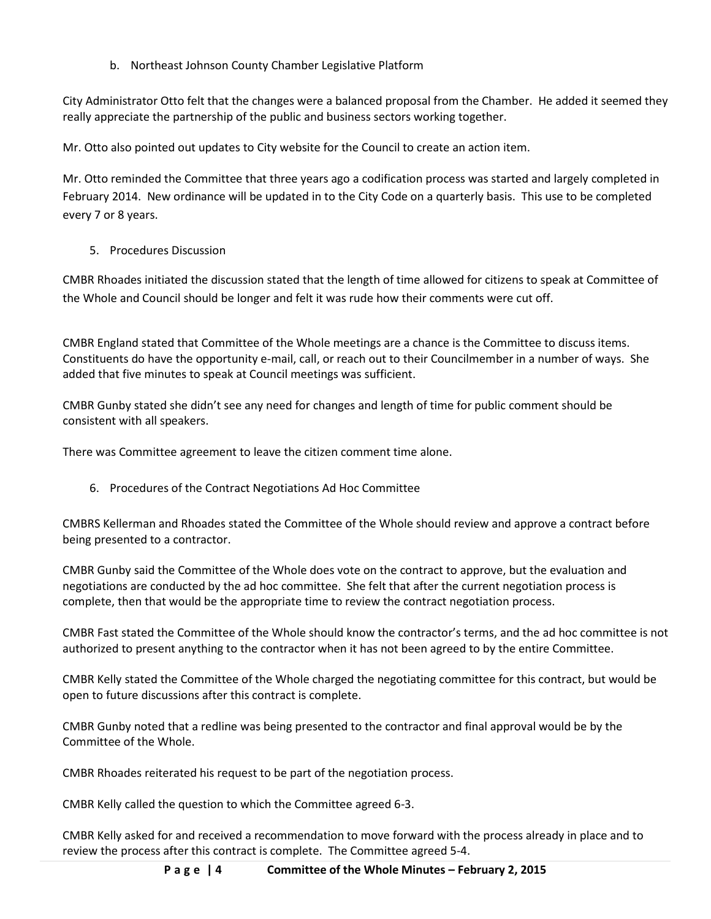b. Northeast Johnson County Chamber Legislative Platform

City Administrator Otto felt that the changes were a balanced proposal from the Chamber. He added it seemed they really appreciate the partnership of the public and business sectors working together.

Mr. Otto also pointed out updates to City website for the Council to create an action item.

Mr. Otto reminded the Committee that three years ago a codification process was started and largely completed in February 2014. New ordinance will be updated in to the City Code on a quarterly basis. This use to be completed every 7 or 8 years.

## 5. Procedures Discussion

CMBR Rhoades initiated the discussion stated that the length of time allowed for citizens to speak at Committee of the Whole and Council should be longer and felt it was rude how their comments were cut off.

CMBR England stated that Committee of the Whole meetings are a chance is the Committee to discuss items. Constituents do have the opportunity e-mail, call, or reach out to their Councilmember in a number of ways. She added that five minutes to speak at Council meetings was sufficient.

CMBR Gunby stated she didn't see any need for changes and length of time for public comment should be consistent with all speakers.

There was Committee agreement to leave the citizen comment time alone.

6. Procedures of the Contract Negotiations Ad Hoc Committee

CMBRS Kellerman and Rhoades stated the Committee of the Whole should review and approve a contract before being presented to a contractor.

CMBR Gunby said the Committee of the Whole does vote on the contract to approve, but the evaluation and negotiations are conducted by the ad hoc committee. She felt that after the current negotiation process is complete, then that would be the appropriate time to review the contract negotiation process.

CMBR Fast stated the Committee of the Whole should know the contractor's terms, and the ad hoc committee is not authorized to present anything to the contractor when it has not been agreed to by the entire Committee.

CMBR Kelly stated the Committee of the Whole charged the negotiating committee for this contract, but would be open to future discussions after this contract is complete.

CMBR Gunby noted that a redline was being presented to the contractor and final approval would be by the Committee of the Whole.

CMBR Rhoades reiterated his request to be part of the negotiation process.

CMBR Kelly called the question to which the Committee agreed 6-3.

CMBR Kelly asked for and received a recommendation to move forward with the process already in place and to review the process after this contract is complete. The Committee agreed 5-4.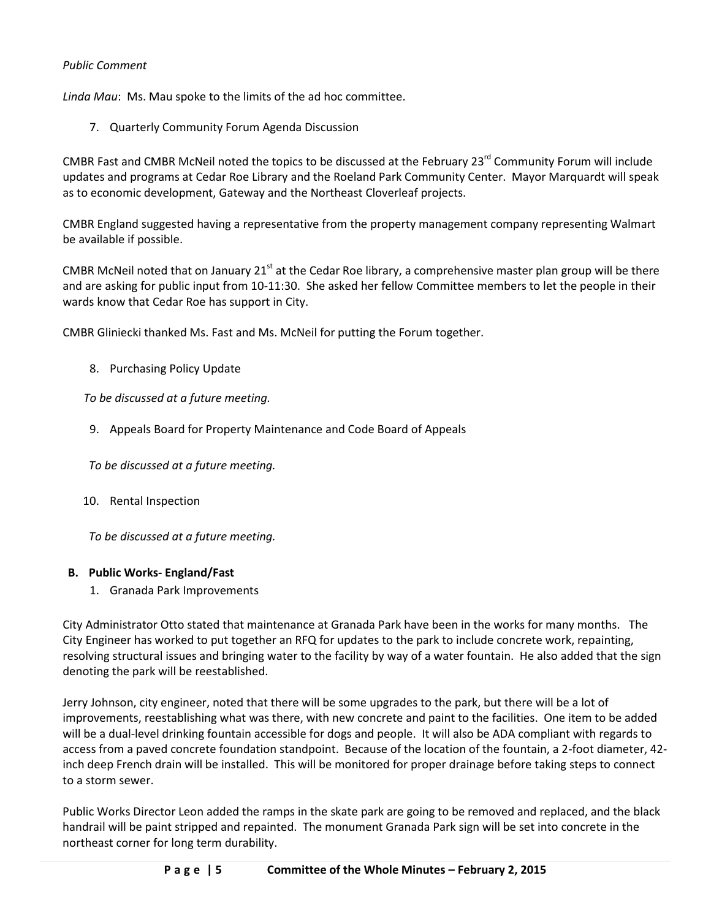## *Public Comment*

*Linda Mau*: Ms. Mau spoke to the limits of the ad hoc committee.

7. Quarterly Community Forum Agenda Discussion

CMBR Fast and CMBR McNeil noted the topics to be discussed at the February 23<sup>rd</sup> Community Forum will include updates and programs at Cedar Roe Library and the Roeland Park Community Center. Mayor Marquardt will speak as to economic development, Gateway and the Northeast Cloverleaf projects.

CMBR England suggested having a representative from the property management company representing Walmart be available if possible.

CMBR McNeil noted that on January 21<sup>st</sup> at the Cedar Roe library, a comprehensive master plan group will be there and are asking for public input from 10-11:30. She asked her fellow Committee members to let the people in their wards know that Cedar Roe has support in City.

CMBR Gliniecki thanked Ms. Fast and Ms. McNeil for putting the Forum together.

8. Purchasing Policy Update

*To be discussed at a future meeting.*

9. Appeals Board for Property Maintenance and Code Board of Appeals

*To be discussed at a future meeting.* 

10. Rental Inspection

*To be discussed at a future meeting.*

### **B. Public Works- England/Fast**

1. Granada Park Improvements

City Administrator Otto stated that maintenance at Granada Park have been in the works for many months. The City Engineer has worked to put together an RFQ for updates to the park to include concrete work, repainting, resolving structural issues and bringing water to the facility by way of a water fountain. He also added that the sign denoting the park will be reestablished.

Jerry Johnson, city engineer, noted that there will be some upgrades to the park, but there will be a lot of improvements, reestablishing what was there, with new concrete and paint to the facilities. One item to be added will be a dual-level drinking fountain accessible for dogs and people. It will also be ADA compliant with regards to access from a paved concrete foundation standpoint. Because of the location of the fountain, a 2-foot diameter, 42 inch deep French drain will be installed. This will be monitored for proper drainage before taking steps to connect to a storm sewer.

Public Works Director Leon added the ramps in the skate park are going to be removed and replaced, and the black handrail will be paint stripped and repainted. The monument Granada Park sign will be set into concrete in the northeast corner for long term durability.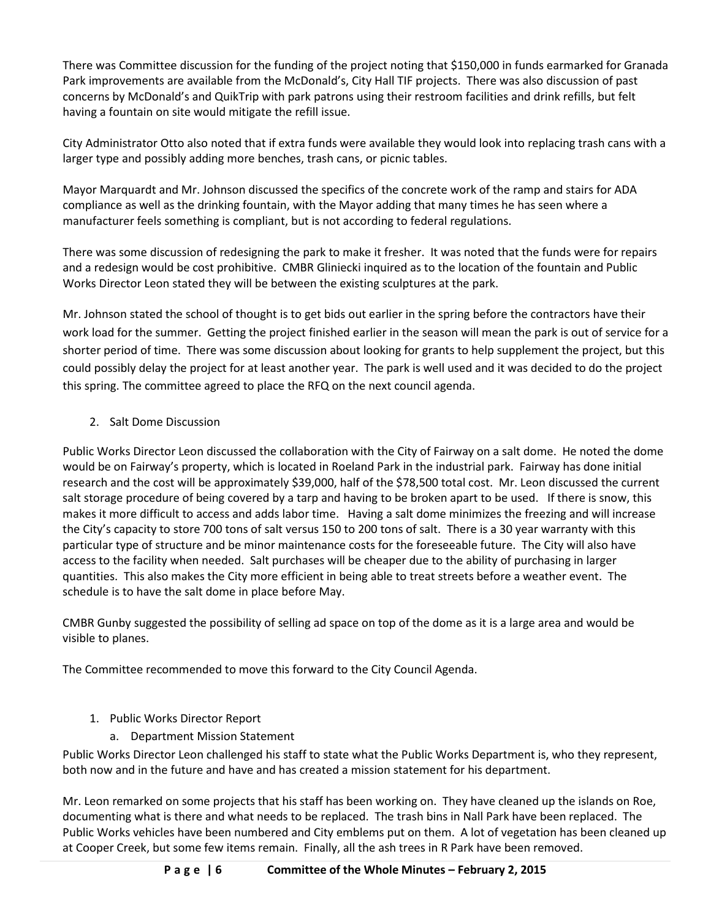There was Committee discussion for the funding of the project noting that \$150,000 in funds earmarked for Granada Park improvements are available from the McDonald's, City Hall TIF projects. There was also discussion of past concerns by McDonald's and QuikTrip with park patrons using their restroom facilities and drink refills, but felt having a fountain on site would mitigate the refill issue.

City Administrator Otto also noted that if extra funds were available they would look into replacing trash cans with a larger type and possibly adding more benches, trash cans, or picnic tables.

Mayor Marquardt and Mr. Johnson discussed the specifics of the concrete work of the ramp and stairs for ADA compliance as well as the drinking fountain, with the Mayor adding that many times he has seen where a manufacturer feels something is compliant, but is not according to federal regulations.

There was some discussion of redesigning the park to make it fresher. It was noted that the funds were for repairs and a redesign would be cost prohibitive. CMBR Gliniecki inquired as to the location of the fountain and Public Works Director Leon stated they will be between the existing sculptures at the park.

Mr. Johnson stated the school of thought is to get bids out earlier in the spring before the contractors have their work load for the summer. Getting the project finished earlier in the season will mean the park is out of service for a shorter period of time. There was some discussion about looking for grants to help supplement the project, but this could possibly delay the project for at least another year. The park is well used and it was decided to do the project this spring. The committee agreed to place the RFQ on the next council agenda.

# 2. Salt Dome Discussion

Public Works Director Leon discussed the collaboration with the City of Fairway on a salt dome. He noted the dome would be on Fairway's property, which is located in Roeland Park in the industrial park. Fairway has done initial research and the cost will be approximately \$39,000, half of the \$78,500 total cost. Mr. Leon discussed the current salt storage procedure of being covered by a tarp and having to be broken apart to be used. If there is snow, this makes it more difficult to access and adds labor time. Having a salt dome minimizes the freezing and will increase the City's capacity to store 700 tons of salt versus 150 to 200 tons of salt. There is a 30 year warranty with this particular type of structure and be minor maintenance costs for the foreseeable future. The City will also have access to the facility when needed. Salt purchases will be cheaper due to the ability of purchasing in larger quantities. This also makes the City more efficient in being able to treat streets before a weather event. The schedule is to have the salt dome in place before May.

CMBR Gunby suggested the possibility of selling ad space on top of the dome as it is a large area and would be visible to planes.

The Committee recommended to move this forward to the City Council Agenda.

# 1. Public Works Director Report

a. Department Mission Statement

Public Works Director Leon challenged his staff to state what the Public Works Department is, who they represent, both now and in the future and have and has created a mission statement for his department.

Mr. Leon remarked on some projects that his staff has been working on. They have cleaned up the islands on Roe, documenting what is there and what needs to be replaced. The trash bins in Nall Park have been replaced. The Public Works vehicles have been numbered and City emblems put on them. A lot of vegetation has been cleaned up at Cooper Creek, but some few items remain. Finally, all the ash trees in R Park have been removed.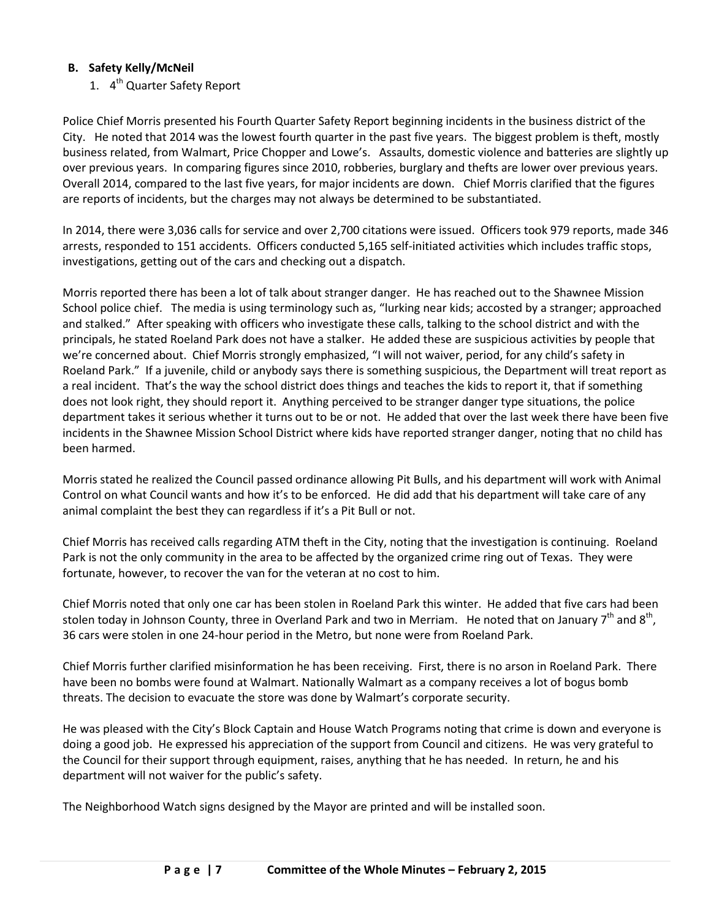# **B. Safety Kelly/McNeil**

1. 4<sup>th</sup> Quarter Safety Report

Police Chief Morris presented his Fourth Quarter Safety Report beginning incidents in the business district of the City. He noted that 2014 was the lowest fourth quarter in the past five years. The biggest problem is theft, mostly business related, from Walmart, Price Chopper and Lowe's. Assaults, domestic violence and batteries are slightly up over previous years. In comparing figures since 2010, robberies, burglary and thefts are lower over previous years. Overall 2014, compared to the last five years, for major incidents are down. Chief Morris clarified that the figures are reports of incidents, but the charges may not always be determined to be substantiated.

In 2014, there were 3,036 calls for service and over 2,700 citations were issued. Officers took 979 reports, made 346 arrests, responded to 151 accidents. Officers conducted 5,165 self-initiated activities which includes traffic stops, investigations, getting out of the cars and checking out a dispatch.

Morris reported there has been a lot of talk about stranger danger. He has reached out to the Shawnee Mission School police chief. The media is using terminology such as, "lurking near kids; accosted by a stranger; approached and stalked." After speaking with officers who investigate these calls, talking to the school district and with the principals, he stated Roeland Park does not have a stalker. He added these are suspicious activities by people that we're concerned about. Chief Morris strongly emphasized, "I will not waiver, period, for any child's safety in Roeland Park." If a juvenile, child or anybody says there is something suspicious, the Department will treat report as a real incident. That's the way the school district does things and teaches the kids to report it, that if something does not look right, they should report it. Anything perceived to be stranger danger type situations, the police department takes it serious whether it turns out to be or not. He added that over the last week there have been five incidents in the Shawnee Mission School District where kids have reported stranger danger, noting that no child has been harmed.

Morris stated he realized the Council passed ordinance allowing Pit Bulls, and his department will work with Animal Control on what Council wants and how it's to be enforced. He did add that his department will take care of any animal complaint the best they can regardless if it's a Pit Bull or not.

Chief Morris has received calls regarding ATM theft in the City, noting that the investigation is continuing. Roeland Park is not the only community in the area to be affected by the organized crime ring out of Texas. They were fortunate, however, to recover the van for the veteran at no cost to him.

Chief Morris noted that only one car has been stolen in Roeland Park this winter. He added that five cars had been stolen today in Johnson County, three in Overland Park and two in Merriam. He noted that on January  $7^{th}$  and  $8^{th}$ , 36 cars were stolen in one 24-hour period in the Metro, but none were from Roeland Park.

Chief Morris further clarified misinformation he has been receiving. First, there is no arson in Roeland Park. There have been no bombs were found at Walmart. Nationally Walmart as a company receives a lot of bogus bomb threats. The decision to evacuate the store was done by Walmart's corporate security.

He was pleased with the City's Block Captain and House Watch Programs noting that crime is down and everyone is doing a good job. He expressed his appreciation of the support from Council and citizens. He was very grateful to the Council for their support through equipment, raises, anything that he has needed. In return, he and his department will not waiver for the public's safety.

The Neighborhood Watch signs designed by the Mayor are printed and will be installed soon.